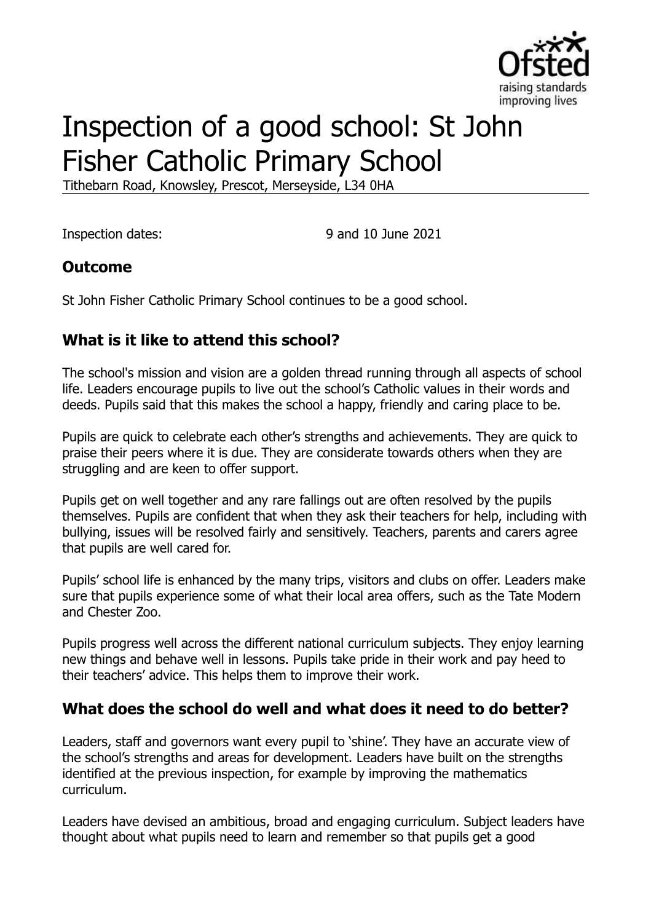

# Inspection of a good school: St John Fisher Catholic Primary School

Tithebarn Road, Knowsley, Prescot, Merseyside, L34 0HA

Inspection dates: 9 and 10 June 2021

#### **Outcome**

St John Fisher Catholic Primary School continues to be a good school.

# **What is it like to attend this school?**

The school's mission and vision are a golden thread running through all aspects of school life. Leaders encourage pupils to live out the school's Catholic values in their words and deeds. Pupils said that this makes the school a happy, friendly and caring place to be.

Pupils are quick to celebrate each other's strengths and achievements. They are quick to praise their peers where it is due. They are considerate towards others when they are struggling and are keen to offer support.

Pupils get on well together and any rare fallings out are often resolved by the pupils themselves. Pupils are confident that when they ask their teachers for help, including with bullying, issues will be resolved fairly and sensitively. Teachers, parents and carers agree that pupils are well cared for.

Pupils' school life is enhanced by the many trips, visitors and clubs on offer. Leaders make sure that pupils experience some of what their local area offers, such as the Tate Modern and Chester Zoo.

Pupils progress well across the different national curriculum subjects. They enjoy learning new things and behave well in lessons. Pupils take pride in their work and pay heed to their teachers' advice. This helps them to improve their work.

#### **What does the school do well and what does it need to do better?**

Leaders, staff and governors want every pupil to 'shine'. They have an accurate view of the school's strengths and areas for development. Leaders have built on the strengths identified at the previous inspection, for example by improving the mathematics curriculum.

Leaders have devised an ambitious, broad and engaging curriculum. Subject leaders have thought about what pupils need to learn and remember so that pupils get a good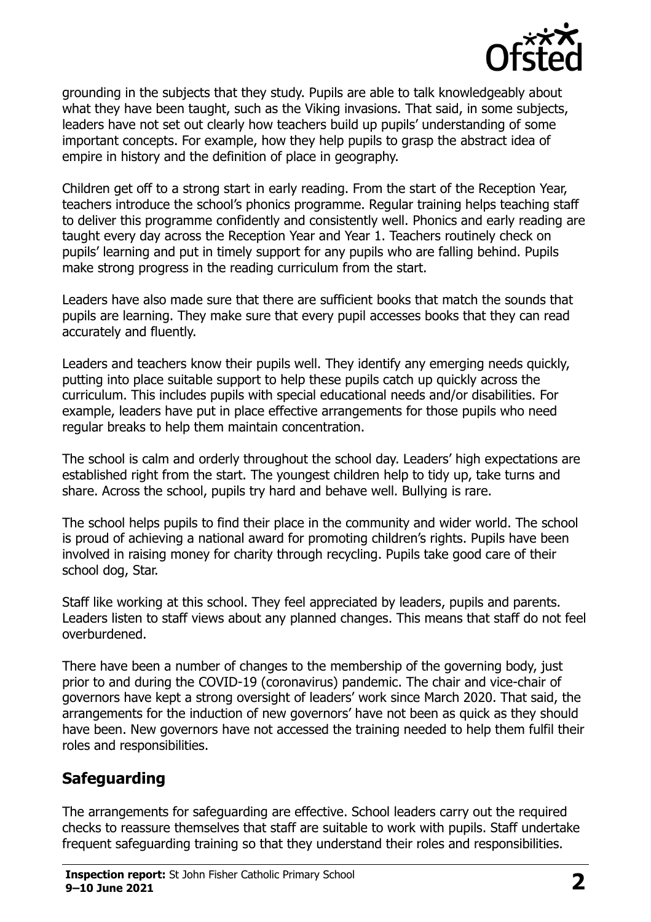

grounding in the subjects that they study. Pupils are able to talk knowledgeably about what they have been taught, such as the Viking invasions. That said, in some subjects, leaders have not set out clearly how teachers build up pupils' understanding of some important concepts. For example, how they help pupils to grasp the abstract idea of empire in history and the definition of place in geography.

Children get off to a strong start in early reading. From the start of the Reception Year, teachers introduce the school's phonics programme. Regular training helps teaching staff to deliver this programme confidently and consistently well. Phonics and early reading are taught every day across the Reception Year and Year 1. Teachers routinely check on pupils' learning and put in timely support for any pupils who are falling behind. Pupils make strong progress in the reading curriculum from the start.

Leaders have also made sure that there are sufficient books that match the sounds that pupils are learning. They make sure that every pupil accesses books that they can read accurately and fluently.

Leaders and teachers know their pupils well. They identify any emerging needs quickly, putting into place suitable support to help these pupils catch up quickly across the curriculum. This includes pupils with special educational needs and/or disabilities. For example, leaders have put in place effective arrangements for those pupils who need regular breaks to help them maintain concentration.

The school is calm and orderly throughout the school day. Leaders' high expectations are established right from the start. The youngest children help to tidy up, take turns and share. Across the school, pupils try hard and behave well. Bullying is rare.

The school helps pupils to find their place in the community and wider world. The school is proud of achieving a national award for promoting children's rights. Pupils have been involved in raising money for charity through recycling. Pupils take good care of their school dog, Star.

Staff like working at this school. They feel appreciated by leaders, pupils and parents. Leaders listen to staff views about any planned changes. This means that staff do not feel overburdened.

There have been a number of changes to the membership of the governing body, just prior to and during the COVID-19 (coronavirus) pandemic. The chair and vice-chair of governors have kept a strong oversight of leaders' work since March 2020. That said, the arrangements for the induction of new governors' have not been as quick as they should have been. New governors have not accessed the training needed to help them fulfil their roles and responsibilities.

# **Safeguarding**

The arrangements for safeguarding are effective. School leaders carry out the required checks to reassure themselves that staff are suitable to work with pupils. Staff undertake frequent safeguarding training so that they understand their roles and responsibilities.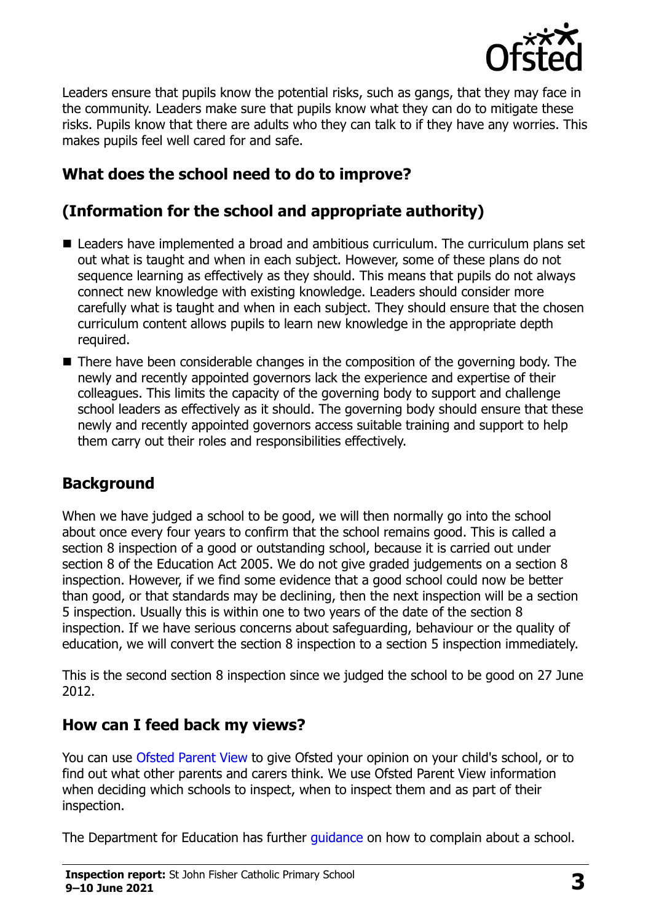

Leaders ensure that pupils know the potential risks, such as gangs, that they may face in the community. Leaders make sure that pupils know what they can do to mitigate these risks. Pupils know that there are adults who they can talk to if they have any worries. This makes pupils feel well cared for and safe.

# **What does the school need to do to improve?**

# **(Information for the school and appropriate authority)**

- Leaders have implemented a broad and ambitious curriculum. The curriculum plans set out what is taught and when in each subject. However, some of these plans do not sequence learning as effectively as they should. This means that pupils do not always connect new knowledge with existing knowledge. Leaders should consider more carefully what is taught and when in each subject. They should ensure that the chosen curriculum content allows pupils to learn new knowledge in the appropriate depth required.
- There have been considerable changes in the composition of the governing body. The newly and recently appointed governors lack the experience and expertise of their colleagues. This limits the capacity of the governing body to support and challenge school leaders as effectively as it should. The governing body should ensure that these newly and recently appointed governors access suitable training and support to help them carry out their roles and responsibilities effectively.

#### **Background**

When we have judged a school to be good, we will then normally go into the school about once every four years to confirm that the school remains good. This is called a section 8 inspection of a good or outstanding school, because it is carried out under section 8 of the Education Act 2005. We do not give graded judgements on a section 8 inspection. However, if we find some evidence that a good school could now be better than good, or that standards may be declining, then the next inspection will be a section 5 inspection. Usually this is within one to two years of the date of the section 8 inspection. If we have serious concerns about safeguarding, behaviour or the quality of education, we will convert the section 8 inspection to a section 5 inspection immediately.

This is the second section 8 inspection since we judged the school to be good on 27 June 2012.

#### **How can I feed back my views?**

You can use [Ofsted Parent View](https://parentview.ofsted.gov.uk/) to give Ofsted your opinion on your child's school, or to find out what other parents and carers think. We use Ofsted Parent View information when deciding which schools to inspect, when to inspect them and as part of their inspection.

The Department for Education has further quidance on how to complain about a school.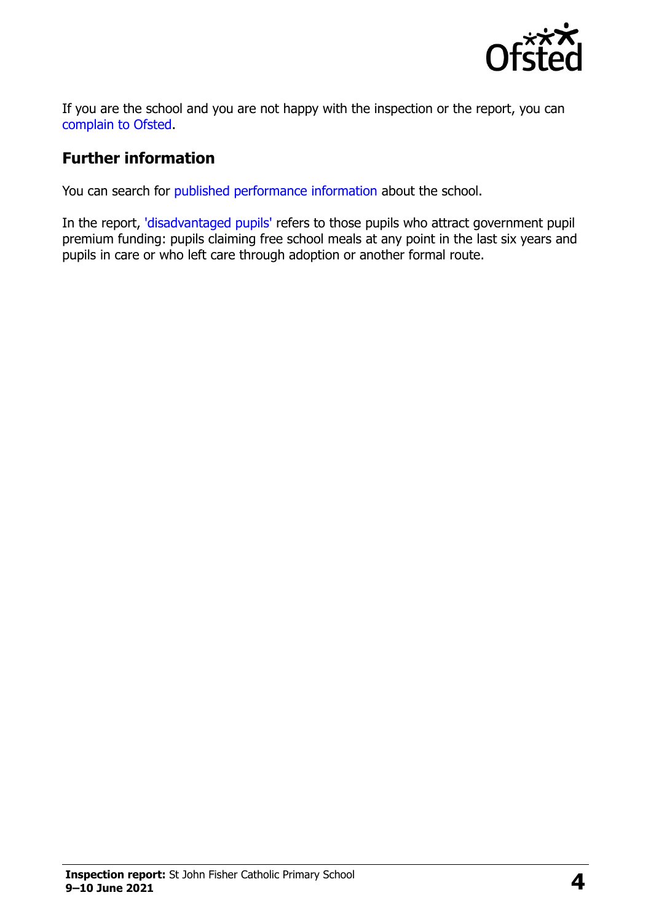

If you are the school and you are not happy with the inspection or the report, you can [complain to Ofsted.](https://www.gov.uk/complain-ofsted-report)

### **Further information**

You can search for [published performance information](http://www.compare-school-performance.service.gov.uk/) about the school.

In the report, ['disadvantaged pupils'](http://www.gov.uk/guidance/pupil-premium-information-for-schools-and-alternative-provision-settings) refers to those pupils who attract government pupil premium funding: pupils claiming free school meals at any point in the last six years and pupils in care or who left care through adoption or another formal route.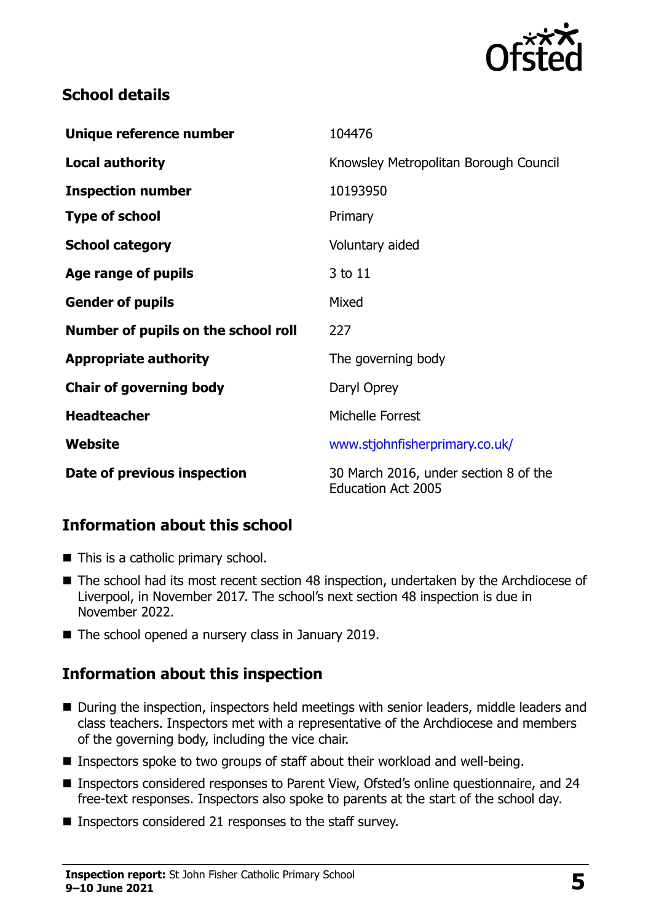

## **School details**

| Unique reference number             | 104476                                                             |
|-------------------------------------|--------------------------------------------------------------------|
| <b>Local authority</b>              | Knowsley Metropolitan Borough Council                              |
| <b>Inspection number</b>            | 10193950                                                           |
| <b>Type of school</b>               | Primary                                                            |
| <b>School category</b>              | Voluntary aided                                                    |
| Age range of pupils                 | 3 to 11                                                            |
| <b>Gender of pupils</b>             | Mixed                                                              |
| Number of pupils on the school roll | 227                                                                |
| <b>Appropriate authority</b>        | The governing body                                                 |
| <b>Chair of governing body</b>      | Daryl Oprey                                                        |
| <b>Headteacher</b>                  | Michelle Forrest                                                   |
| Website                             | www.stjohnfisherprimary.co.uk/                                     |
| Date of previous inspection         | 30 March 2016, under section 8 of the<br><b>Education Act 2005</b> |

# **Information about this school**

- This is a catholic primary school.
- The school had its most recent section 48 inspection, undertaken by the Archdiocese of Liverpool, in November 2017. The school's next section 48 inspection is due in November 2022.
- The school opened a nursery class in January 2019.

# **Information about this inspection**

- During the inspection, inspectors held meetings with senior leaders, middle leaders and class teachers. Inspectors met with a representative of the Archdiocese and members of the governing body, including the vice chair.
- Inspectors spoke to two groups of staff about their workload and well-being.
- Inspectors considered responses to Parent View, Ofsted's online questionnaire, and 24 free-text responses. Inspectors also spoke to parents at the start of the school day.
- **Inspectors considered 21 responses to the staff survey.**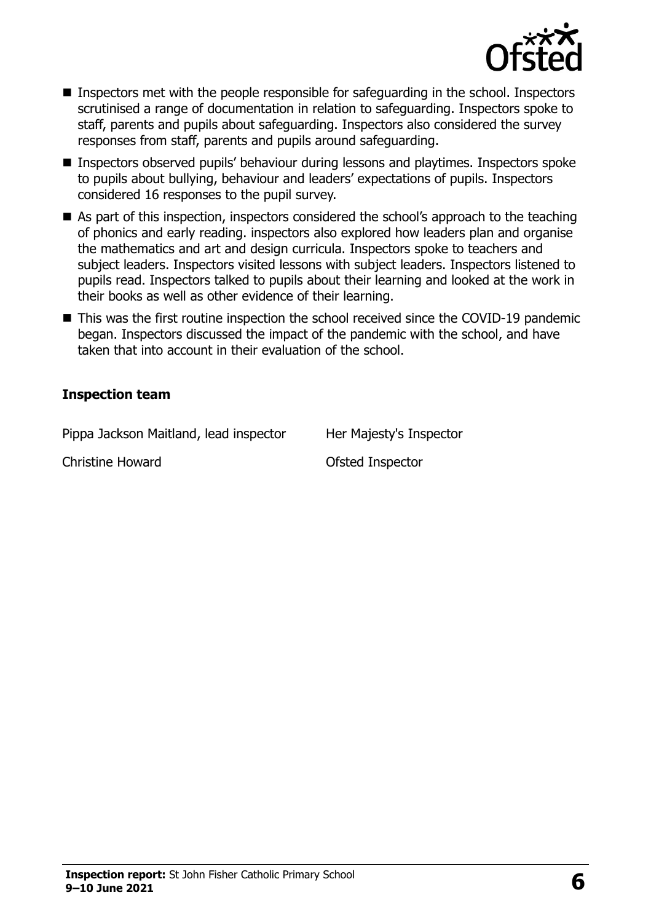

- Inspectors met with the people responsible for safequarding in the school. Inspectors scrutinised a range of documentation in relation to safeguarding. Inspectors spoke to staff, parents and pupils about safeguarding. Inspectors also considered the survey responses from staff, parents and pupils around safeguarding.
- Inspectors observed pupils' behaviour during lessons and playtimes. Inspectors spoke to pupils about bullying, behaviour and leaders' expectations of pupils. Inspectors considered 16 responses to the pupil survey.
- As part of this inspection, inspectors considered the school's approach to the teaching of phonics and early reading. inspectors also explored how leaders plan and organise the mathematics and art and design curricula. Inspectors spoke to teachers and subject leaders. Inspectors visited lessons with subject leaders. Inspectors listened to pupils read. Inspectors talked to pupils about their learning and looked at the work in their books as well as other evidence of their learning.
- This was the first routine inspection the school received since the COVID-19 pandemic began. Inspectors discussed the impact of the pandemic with the school, and have taken that into account in their evaluation of the school.

#### **Inspection team**

Pippa Jackson Maitland, lead inspector Her Majesty's Inspector

Christine Howard **Christine Howard Christine Howard**